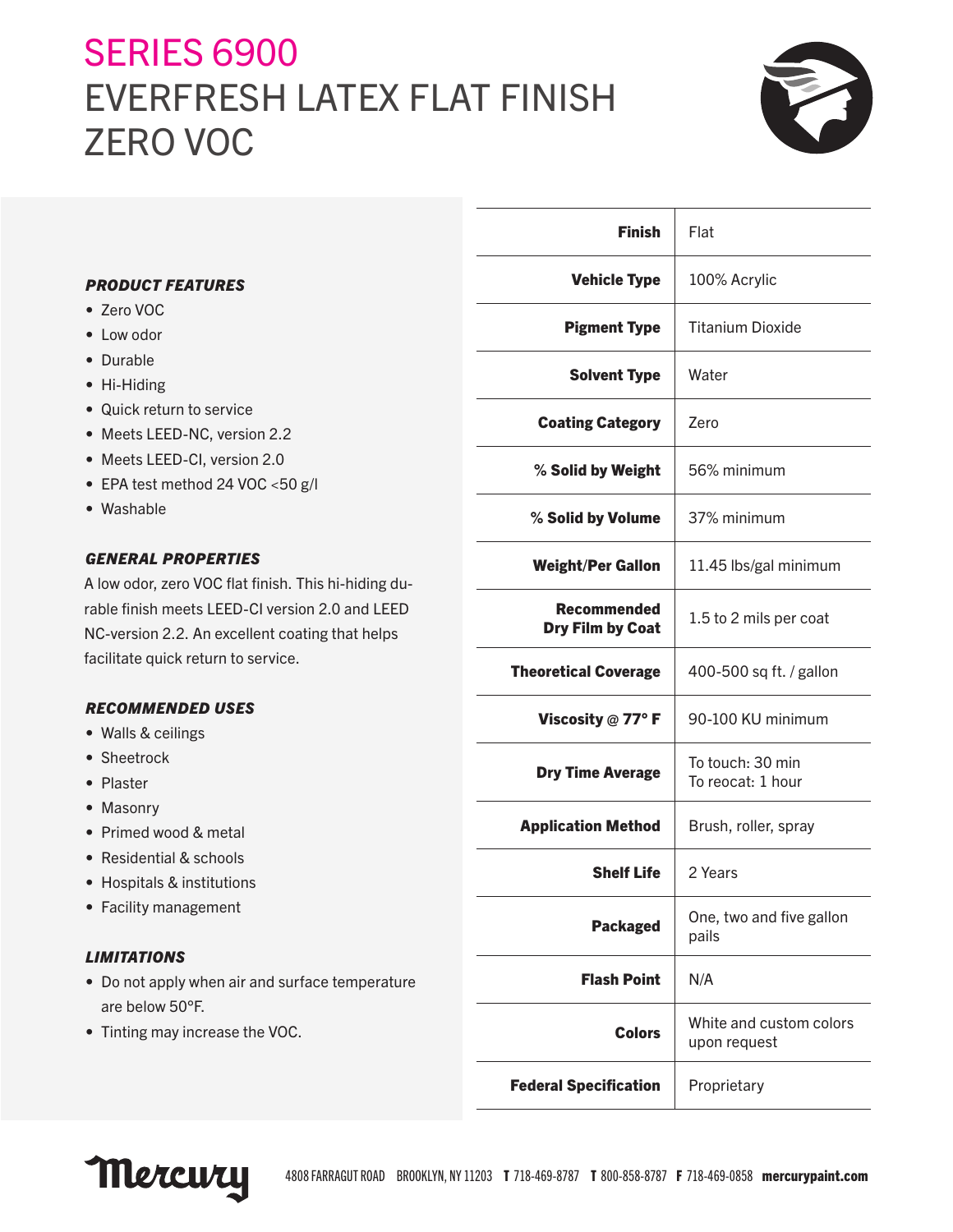# **SERIES 6900** EVERFRESH LATEX FLAT FINISH ZERO VOC



|                                                                                                         | <b>Finish</b>                | Flat                                    |
|---------------------------------------------------------------------------------------------------------|------------------------------|-----------------------------------------|
| <b>PRODUCT FEATURES</b>                                                                                 | <b>Vehicle Type</b>          | 100% Acrylic                            |
| • Zero VOC                                                                                              |                              |                                         |
| • Low odor                                                                                              | <b>Pigment Type</b>          | <b>Titanium Dioxide</b>                 |
| • Durable                                                                                               | <b>Solvent Type</b>          | Water                                   |
| • Hi-Hiding                                                                                             |                              |                                         |
| • Quick return to service                                                                               | <b>Coating Category</b>      | Zero                                    |
| • Meets LEED-NC, version 2.2                                                                            |                              |                                         |
| • Meets LEED-CI, version 2.0                                                                            | % Solid by Weight            | 56% minimum                             |
| • EPA test method 24 VOC <50 g/l                                                                        |                              |                                         |
| • Washable                                                                                              | % Solid by Volume            | 37% minimum                             |
| <b>GENERAL PROPERTIES</b>                                                                               | <b>Weight/Per Gallon</b>     | 11.45 lbs/gal minimum                   |
| A low odor, zero VOC flat finish. This hi-hiding du-<br>rable finish meets LEED-CI version 2.0 and LEED | <b>Recommended</b>           |                                         |
| NC-version 2.2. An excellent coating that helps                                                         | <b>Dry Film by Coat</b>      | 1.5 to 2 mils per coat                  |
| facilitate quick return to service.                                                                     |                              |                                         |
|                                                                                                         | <b>Theoretical Coverage</b>  | 400-500 sq ft. / gallon                 |
| <b>RECOMMENDED USES</b>                                                                                 | Viscosity @ 77°F             | 90-100 KU minimum                       |
| • Walls & ceilings                                                                                      |                              |                                         |
| • Sheetrock                                                                                             | <b>Dry Time Average</b>      | To touch: 30 min                        |
| • Plaster                                                                                               |                              | To reocat: 1 hour                       |
| • Masonry                                                                                               |                              |                                         |
| • Primed wood & metal                                                                                   | <b>Application Method</b>    | Brush, roller, spray                    |
| • Residential & schools                                                                                 | <b>Shelf Life</b>            | 2 Years                                 |
| • Hospitals & institutions                                                                              |                              |                                         |
| • Facility management                                                                                   | <b>Packaged</b>              | One, two and five gallon<br>pails       |
| <b>LIMITATIONS</b>                                                                                      |                              |                                         |
| • Do not apply when air and surface temperature<br>are below 50°F.                                      | <b>Flash Point</b>           | N/A                                     |
| • Tinting may increase the VOC.                                                                         | <b>Colors</b>                | White and custom colors<br>upon request |
|                                                                                                         | <b>Federal Specification</b> | Proprietary                             |